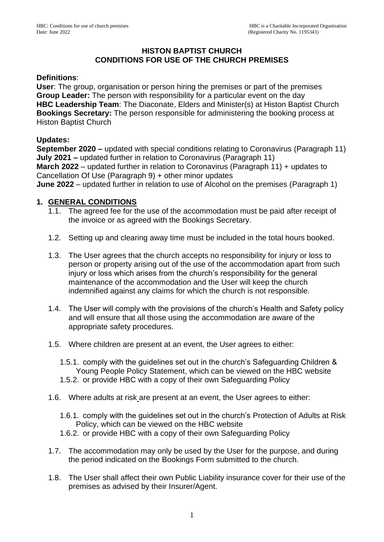### **HISTON BAPTIST CHURCH CONDITIONS FOR USE OF THE CHURCH PREMISES**

#### **Definitions**:

**User**: The group, organisation or person hiring the premises or part of the premises **Group Leader:** The person with responsibility for a particular event on the day **HBC Leadership Team**: The Diaconate, Elders and Minister(s) at Histon Baptist Church **Bookings Secretary:** The person responsible for administering the booking process at Histon Baptist Church

#### **Updates:**

**September 2020 –** updated with special conditions relating to Coronavirus (Paragraph 11) **July 2021 –** updated further in relation to Coronavirus (Paragraph 11) **March 2022** – updated further in relation to Coronavirus (Paragraph 11) + updates to Cancellation Of Use (Paragraph 9) + other minor updates **June 2022** – updated further in relation to use of Alcohol on the premises (Paragraph 1)

#### **1. GENERAL CONDITIONS**

- 1.1. The agreed fee for the use of the accommodation must be paid after receipt of the invoice or as agreed with the Bookings Secretary.
- 1.2. Setting up and clearing away time must be included in the total hours booked.
- 1.3. The User agrees that the church accepts no responsibility for injury or loss to person or property arising out of the use of the accommodation apart from such injury or loss which arises from the church's responsibility for the general maintenance of the accommodation and the User will keep the church indemnified against any claims for which the church is not responsible.
- 1.4. The User will comply with the provisions of the church's Health and Safety policy and will ensure that all those using the accommodation are aware of the appropriate safety procedures.
- 1.5. Where children are present at an event, the User agrees to either:
	- 1.5.1. comply with the guidelines set out in the church's Safeguarding Children & Young People Policy Statement, which can be viewed on the HBC website
	- 1.5.2. or provide HBC with a copy of their own Safeguarding Policy
- 1.6. Where adults at risk\_are present at an event, the User agrees to either:
	- 1.6.1. comply with the guidelines set out in the church's Protection of Adults at Risk Policy, which can be viewed on the HBC website
	- 1.6.2. or provide HBC with a copy of their own Safeguarding Policy
- 1.7. The accommodation may only be used by the User for the purpose, and during the period indicated on the Bookings Form submitted to the church.
- 1.8. The User shall affect their own Public Liability insurance cover for their use of the premises as advised by their Insurer/Agent.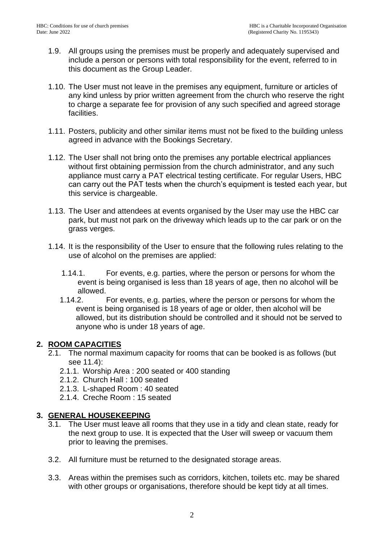- 1.9. All groups using the premises must be properly and adequately supervised and include a person or persons with total responsibility for the event, referred to in this document as the Group Leader.
- 1.10. The User must not leave in the premises any equipment, furniture or articles of any kind unless by prior written agreement from the church who reserve the right to charge a separate fee for provision of any such specified and agreed storage **facilities**
- 1.11. Posters, publicity and other similar items must not be fixed to the building unless agreed in advance with the Bookings Secretary.
- 1.12. The User shall not bring onto the premises any portable electrical appliances without first obtaining permission from the church administrator, and any such appliance must carry a PAT electrical testing certificate. For regular Users, HBC can carry out the PAT tests when the church's equipment is tested each year, but this service is chargeable.
- 1.13. The User and attendees at events organised by the User may use the HBC car park, but must not park on the driveway which leads up to the car park or on the grass verges.
- 1.14. It is the responsibility of the User to ensure that the following rules relating to the use of alcohol on the premises are applied:
	- 1.14.1. For events, e.g. parties, where the person or persons for whom the event is being organised is less than 18 years of age, then no alcohol will be allowed.
	- 1.14.2. For events, e.g. parties, where the person or persons for whom the event is being organised is 18 years of age or older, then alcohol will be allowed, but its distribution should be controlled and it should not be served to anyone who is under 18 years of age.

### **2. ROOM CAPACITIES**

- 2.1. The normal maximum capacity for rooms that can be booked is as follows (but see 11.4):
	- 2.1.1. Worship Area : 200 seated or 400 standing
	- 2.1.2. Church Hall : 100 seated
	- 2.1.3. L-shaped Room : 40 seated
	- 2.1.4. Creche Room : 15 seated

### **3. GENERAL HOUSEKEEPING**

- 3.1. The User must leave all rooms that they use in a tidy and clean state, ready for the next group to use. It is expected that the User will sweep or vacuum them prior to leaving the premises.
- 3.2. All furniture must be returned to the designated storage areas.
- 3.3. Areas within the premises such as corridors, kitchen, toilets etc. may be shared with other groups or organisations, therefore should be kept tidy at all times.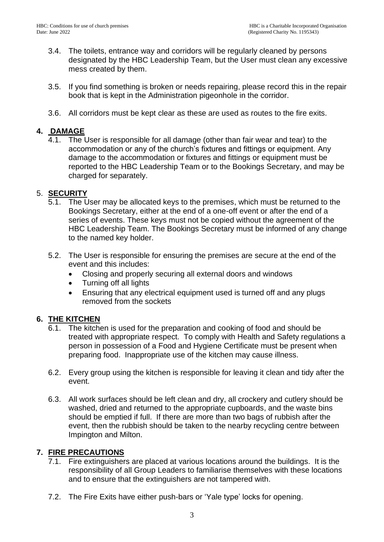- 3.4. The toilets, entrance way and corridors will be regularly cleaned by persons designated by the HBC Leadership Team, but the User must clean any excessive mess created by them.
- 3.5. If you find something is broken or needs repairing, please record this in the repair book that is kept in the Administration pigeonhole in the corridor.
- 3.6. All corridors must be kept clear as these are used as routes to the fire exits.

## **4. DAMAGE**

4.1. The User is responsible for all damage (other than fair wear and tear) to the accommodation or any of the church's fixtures and fittings or equipment. Any damage to the accommodation or fixtures and fittings or equipment must be reported to the HBC Leadership Team or to the Bookings Secretary, and may be charged for separately.

## 5. **SECURITY**

- 5.1. The User may be allocated keys to the premises, which must be returned to the Bookings Secretary, either at the end of a one-off event or after the end of a series of events. These keys must not be copied without the agreement of the HBC Leadership Team. The Bookings Secretary must be informed of any change to the named key holder.
- 5.2. The User is responsible for ensuring the premises are secure at the end of the event and this includes:
	- Closing and properly securing all external doors and windows
	- Turning off all lights
	- Ensuring that any electrical equipment used is turned off and any plugs removed from the sockets

### **6. THE KITCHEN**

- 6.1. The kitchen is used for the preparation and cooking of food and should be treated with appropriate respect. To comply with Health and Safety regulations a person in possession of a Food and Hygiene Certificate must be present when preparing food. Inappropriate use of the kitchen may cause illness.
- 6.2. Every group using the kitchen is responsible for leaving it clean and tidy after the event.
- 6.3. All work surfaces should be left clean and dry, all crockery and cutlery should be washed, dried and returned to the appropriate cupboards, and the waste bins should be emptied if full. If there are more than two bags of rubbish after the event, then the rubbish should be taken to the nearby recycling centre between Impington and Milton.

### **7. FIRE PRECAUTIONS**

- 7.1. Fire extinguishers are placed at various locations around the buildings. It is the responsibility of all Group Leaders to familiarise themselves with these locations and to ensure that the extinguishers are not tampered with.
- 7.2. The Fire Exits have either push-bars or 'Yale type' locks for opening.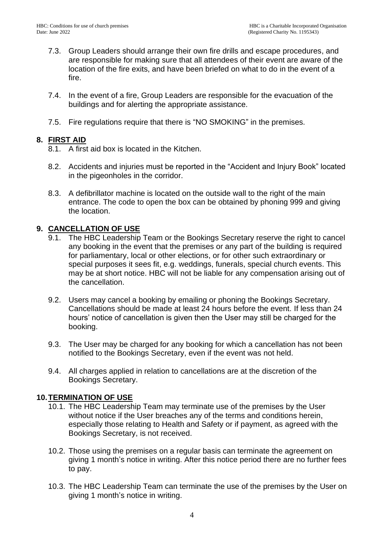- 7.3. Group Leaders should arrange their own fire drills and escape procedures, and are responsible for making sure that all attendees of their event are aware of the location of the fire exits, and have been briefed on what to do in the event of a fire.
- 7.4. In the event of a fire, Group Leaders are responsible for the evacuation of the buildings and for alerting the appropriate assistance.
- 7.5. Fire regulations require that there is "NO SMOKING" in the premises.

## **8. FIRST AID**

- 8.1. A first aid box is located in the Kitchen.
- 8.2. Accidents and injuries must be reported in the "Accident and Injury Book" located in the pigeonholes in the corridor.
- 8.3. A defibrillator machine is located on the outside wall to the right of the main entrance. The code to open the box can be obtained by phoning 999 and giving the location.

## **9. CANCELLATION OF USE**

- 9.1. The HBC Leadership Team or the Bookings Secretary reserve the right to cancel any booking in the event that the premises or any part of the building is required for parliamentary, local or other elections, or for other such extraordinary or special purposes it sees fit, e.g. weddings, funerals, special church events. This may be at short notice. HBC will not be liable for any compensation arising out of the cancellation.
- 9.2. Users may cancel a booking by emailing or phoning the Bookings Secretary. Cancellations should be made at least 24 hours before the event. If less than 24 hours' notice of cancellation is given then the User may still be charged for the booking.
- 9.3. The User may be charged for any booking for which a cancellation has not been notified to the Bookings Secretary, even if the event was not held.
- 9.4. All charges applied in relation to cancellations are at the discretion of the Bookings Secretary.

### **10.TERMINATION OF USE**

- 10.1. The HBC Leadership Team may terminate use of the premises by the User without notice if the User breaches any of the terms and conditions herein, especially those relating to Health and Safety or if payment, as agreed with the Bookings Secretary, is not received.
- 10.2. Those using the premises on a regular basis can terminate the agreement on giving 1 month's notice in writing. After this notice period there are no further fees to pay.
- 10.3. The HBC Leadership Team can terminate the use of the premises by the User on giving 1 month's notice in writing.